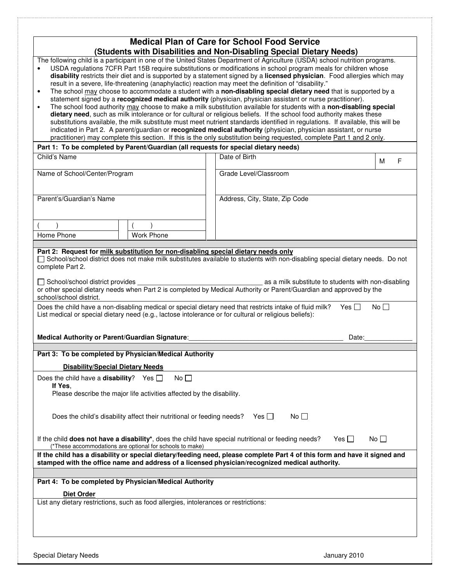|                                                                 |                                                                                      | <b>Medical Plan of Care for School Food Service</b>                                                                                                                                                                                                                                                                                                                                                                                                                                                                                                                                                                                                                                                                                                                                                                                            |              |   |
|-----------------------------------------------------------------|--------------------------------------------------------------------------------------|------------------------------------------------------------------------------------------------------------------------------------------------------------------------------------------------------------------------------------------------------------------------------------------------------------------------------------------------------------------------------------------------------------------------------------------------------------------------------------------------------------------------------------------------------------------------------------------------------------------------------------------------------------------------------------------------------------------------------------------------------------------------------------------------------------------------------------------------|--------------|---|
| $\bullet$                                                       |                                                                                      | (Students with Disabilities and Non-Disabling Special Dietary Needs)<br>The following child is a participant in one of the United States Department of Agriculture (USDA) school nutrition programs.<br>USDA regulations 7CFR Part 15B require substitutions or modifications in school program meals for children whose<br>disability restricts their diet and is supported by a statement signed by a licensed physician. Food allergies which may                                                                                                                                                                                                                                                                                                                                                                                           |              |   |
| $\bullet$                                                       |                                                                                      | result in a severe, life-threatening (anaphylactic) reaction may meet the definition of "disability."<br>The school may choose to accommodate a student with a non-disabling special dietary need that is supported by a<br>statement signed by a recognized medical authority (physician, physician assistant or nurse practitioner).<br>The school food authority may choose to make a milk substitution available for students with a non-disabling special<br>dietary need, such as milk intolerance or for cultural or religious beliefs. If the school food authority makes these<br>substitutions available, the milk substitute must meet nutrient standards identified in regulations. If available, this will be<br>indicated in Part 2. A parent/guardian or recognized medical authority (physician, physician assistant, or nurse |              |   |
|                                                                 |                                                                                      | practitioner) may complete this section. If this is the only substitution being requested, complete Part 1 and 2 only.<br>Part 1: To be completed by Parent/Guardian (all requests for special dietary needs)                                                                                                                                                                                                                                                                                                                                                                                                                                                                                                                                                                                                                                  |              |   |
| Child's Name                                                    |                                                                                      | Date of Birth                                                                                                                                                                                                                                                                                                                                                                                                                                                                                                                                                                                                                                                                                                                                                                                                                                  |              |   |
|                                                                 |                                                                                      |                                                                                                                                                                                                                                                                                                                                                                                                                                                                                                                                                                                                                                                                                                                                                                                                                                                | м            | F |
| Name of School/Center/Program                                   |                                                                                      | Grade Level/Classroom                                                                                                                                                                                                                                                                                                                                                                                                                                                                                                                                                                                                                                                                                                                                                                                                                          |              |   |
|                                                                 |                                                                                      |                                                                                                                                                                                                                                                                                                                                                                                                                                                                                                                                                                                                                                                                                                                                                                                                                                                |              |   |
| Parent's/Guardian's Name                                        |                                                                                      | Address, City, State, Zip Code                                                                                                                                                                                                                                                                                                                                                                                                                                                                                                                                                                                                                                                                                                                                                                                                                 |              |   |
|                                                                 |                                                                                      |                                                                                                                                                                                                                                                                                                                                                                                                                                                                                                                                                                                                                                                                                                                                                                                                                                                |              |   |
|                                                                 |                                                                                      |                                                                                                                                                                                                                                                                                                                                                                                                                                                                                                                                                                                                                                                                                                                                                                                                                                                |              |   |
| Home Phone                                                      | <b>Work Phone</b>                                                                    |                                                                                                                                                                                                                                                                                                                                                                                                                                                                                                                                                                                                                                                                                                                                                                                                                                                |              |   |
| Medical Authority or Parent/Guardian Signature:                 |                                                                                      | Does the child have a non-disabling medical or special dietary need that restricts intake of fluid milk?<br>Yes $\Box$<br>List medical or special dietary need (e.g., lactose intolerance or for cultural or religious beliefs):<br>Date:                                                                                                                                                                                                                                                                                                                                                                                                                                                                                                                                                                                                      | No           |   |
|                                                                 |                                                                                      |                                                                                                                                                                                                                                                                                                                                                                                                                                                                                                                                                                                                                                                                                                                                                                                                                                                |              |   |
|                                                                 | Part 3: To be completed by Physician/Medical Authority                               |                                                                                                                                                                                                                                                                                                                                                                                                                                                                                                                                                                                                                                                                                                                                                                                                                                                |              |   |
| <b>Disability/Special Dietary Needs</b>                         |                                                                                      |                                                                                                                                                                                                                                                                                                                                                                                                                                                                                                                                                                                                                                                                                                                                                                                                                                                |              |   |
| Does the child have a <b>disability</b> ? Yes $\Box$<br>If Yes, | No                                                                                   |                                                                                                                                                                                                                                                                                                                                                                                                                                                                                                                                                                                                                                                                                                                                                                                                                                                |              |   |
|                                                                 | Please describe the major life activities affected by the disability.                |                                                                                                                                                                                                                                                                                                                                                                                                                                                                                                                                                                                                                                                                                                                                                                                                                                                |              |   |
|                                                                 | Does the child's disability affect their nutritional or feeding needs?               | No <sub>1</sub><br>Yes $\Box$                                                                                                                                                                                                                                                                                                                                                                                                                                                                                                                                                                                                                                                                                                                                                                                                                  |              |   |
|                                                                 | (*These accommodations are optional for schools to make)                             | If the child does not have a disability*, does the child have special nutritional or feeding needs?<br>Yes $\Box$                                                                                                                                                                                                                                                                                                                                                                                                                                                                                                                                                                                                                                                                                                                              | No $\square$ |   |
|                                                                 |                                                                                      | If the child has a disability or special dietary/feeding need, please complete Part 4 of this form and have it signed and<br>stamped with the office name and address of a licensed physician/recognized medical authority.                                                                                                                                                                                                                                                                                                                                                                                                                                                                                                                                                                                                                    |              |   |
|                                                                 |                                                                                      |                                                                                                                                                                                                                                                                                                                                                                                                                                                                                                                                                                                                                                                                                                                                                                                                                                                |              |   |
|                                                                 | Part 4: To be completed by Physician/Medical Authority                               |                                                                                                                                                                                                                                                                                                                                                                                                                                                                                                                                                                                                                                                                                                                                                                                                                                                |              |   |
| <b>Diet Order</b>                                               |                                                                                      |                                                                                                                                                                                                                                                                                                                                                                                                                                                                                                                                                                                                                                                                                                                                                                                                                                                |              |   |
|                                                                 | List any dietary restrictions, such as food allergies, intolerances or restrictions: |                                                                                                                                                                                                                                                                                                                                                                                                                                                                                                                                                                                                                                                                                                                                                                                                                                                |              |   |
|                                                                 |                                                                                      |                                                                                                                                                                                                                                                                                                                                                                                                                                                                                                                                                                                                                                                                                                                                                                                                                                                |              |   |
|                                                                 |                                                                                      |                                                                                                                                                                                                                                                                                                                                                                                                                                                                                                                                                                                                                                                                                                                                                                                                                                                |              |   |

 $\frac{1}{2}$  and

ł

**CONTRACTOR**